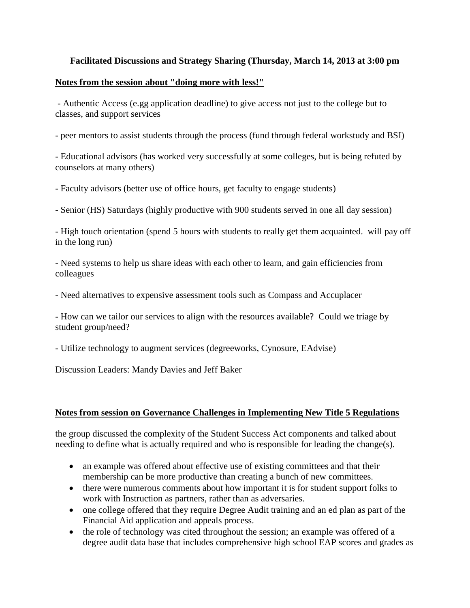## **Facilitated Discussions and Strategy Sharing (Thursday, March 14, 2013 at 3:00 pm**

## **Notes from the session about "doing more with less!"**

- Authentic Access (e.gg application deadline) to give access not just to the college but to classes, and support services

- peer mentors to assist students through the process (fund through federal workstudy and BSI)

- Educational advisors (has worked very successfully at some colleges, but is being refuted by counselors at many others)

- Faculty advisors (better use of office hours, get faculty to engage students)

- Senior (HS) Saturdays (highly productive with 900 students served in one all day session)

- High touch orientation (spend 5 hours with students to really get them acquainted. will pay off in the long run)

- Need systems to help us share ideas with each other to learn, and gain efficiencies from colleagues

- Need alternatives to expensive assessment tools such as Compass and Accuplacer

- How can we tailor our services to align with the resources available? Could we triage by student group/need?

- Utilize technology to augment services (degreeworks, Cynosure, EAdvise)

Discussion Leaders: Mandy Davies and Jeff Baker

## **Notes from session on Governance Challenges in Implementing New Title 5 Regulations**

the group discussed the complexity of the Student Success Act components and talked about needing to define what is actually required and who is responsible for leading the change(s).

- an example was offered about effective use of existing committees and that their membership can be more productive than creating a bunch of new committees.
- there were numerous comments about how important it is for student support folks to work with Instruction as partners, rather than as adversaries.
- one college offered that they require Degree Audit training and an ed plan as part of the Financial Aid application and appeals process.
- the role of technology was cited throughout the session; an example was offered of a degree audit data base that includes comprehensive high school EAP scores and grades as